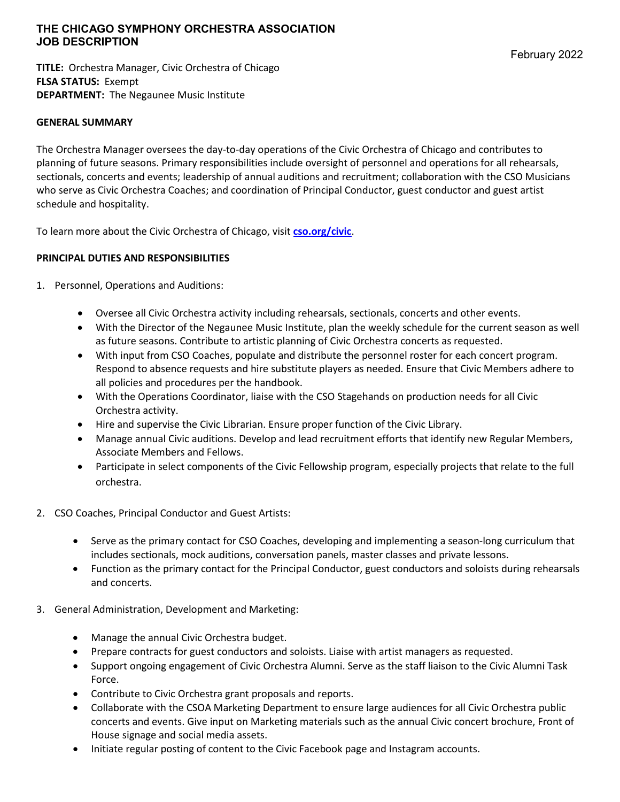# **THE CHICAGO SYMPHONY ORCHESTRA ASSOCIATION JOB DESCRIPTION**

**TITLE:** Orchestra Manager, Civic Orchestra of Chicago **FLSA STATUS:** Exempt **DEPARTMENT:** The Negaunee Music Institute

### **GENERAL SUMMARY**

The Orchestra Manager oversees the day-to-day operations of the Civic Orchestra of Chicago and contributes to planning of future seasons. Primary responsibilities include oversight of personnel and operations for all rehearsals, sectionals, concerts and events; leadership of annual auditions and recruitment; collaboration with the CSO Musicians who serve as Civic Orchestra Coaches; and coordination of Principal Conductor, guest conductor and guest artist schedule and hospitality.

To learn more about the Civic Orchestra of Chicago, visit **cso.org/civic**.

# **PRINCIPAL DUTIES AND RESPONSIBILITIES**

- 1. Personnel, Operations and Auditions:
	- Oversee all Civic Orchestra activity including rehearsals, sectionals, concerts and other events.
	- With the Director of the Negaunee Music Institute, plan the weekly schedule for the current season as well as future seasons. Contribute to artistic planning of Civic Orchestra concerts as requested.
	- With input from CSO Coaches, populate and distribute the personnel roster for each concert program. Respond to absence requests and hire substitute players as needed. Ensure that Civic Members adhere to all policies and procedures per the handbook.
	- With the Operations Coordinator, liaise with the CSO Stagehands on production needs for all Civic Orchestra activity.
	- Hire and supervise the Civic Librarian. Ensure proper function of the Civic Library.
	- Manage annual Civic auditions. Develop and lead recruitment efforts that identify new Regular Members, Associate Members and Fellows.
	- Participate in select components of the Civic Fellowship program, especially projects that relate to the full orchestra.
- 2. CSO Coaches, Principal Conductor and Guest Artists:
	- Serve as the primary contact for CSO Coaches, developing and implementing a season-long curriculum that includes sectionals, mock auditions, conversation panels, master classes and private lessons.
	- Function as the primary contact for the Principal Conductor, guest conductors and soloists during rehearsals and concerts.
- 3. General Administration, Development and Marketing:
	- Manage the annual Civic Orchestra budget.
	- Prepare contracts for guest conductors and soloists. Liaise with artist managers as requested.
	- Support ongoing engagement of Civic Orchestra Alumni. Serve as the staff liaison to the Civic Alumni Task Force.
	- Contribute to Civic Orchestra grant proposals and reports.
	- Collaborate with the CSOA Marketing Department to ensure large audiences for all Civic Orchestra public concerts and events. Give input on Marketing materials such as the annual Civic concert brochure, Front of House signage and social media assets.
	- Initiate regular posting of content to the Civic Facebook page and Instagram accounts.